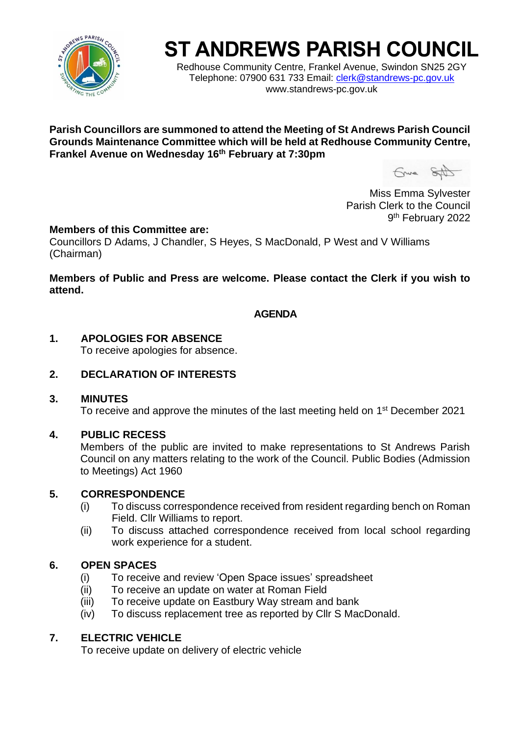

# **ST ANDREWS PARISH COUNCIL**

Redhouse Community Centre, Frankel Avenue, Swindon SN25 2GY Telephone: 07900 631 733 Email: [clerk@standrews-pc.gov.uk](mailto:clerk@standrews-pc.gov.uk) www.standrews-pc.gov.uk

#### **Parish Councillors are summoned to attend the Meeting of St Andrews Parish Council Grounds Maintenance Committee which will be held at Redhouse Community Centre, Frankel Avenue on Wednesday 16th February at 7:30pm**

Gruna SAD

Miss Emma Sylvester Parish Clerk to the Council 9<sup>th</sup> February 2022

#### **Members of this Committee are:**

Councillors D Adams, J Chandler, S Heyes, S MacDonald, P West and V Williams (Chairman)

#### **Members of Public and Press are welcome. Please contact the Clerk if you wish to attend.**

## **AGENDA**

## **1. APOLOGIES FOR ABSENCE**

To receive apologies for absence.

# **2. DECLARATION OF INTERESTS**

#### **3. MINUTES**

To receive and approve the minutes of the last meeting held on 1<sup>st</sup> December 2021

#### **4. PUBLIC RECESS**

Members of the public are invited to make representations to St Andrews Parish Council on any matters relating to the work of the Council. Public Bodies (Admission to Meetings) Act 1960

#### **5. CORRESPONDENCE**

- (i) To discuss correspondence received from resident regarding bench on Roman Field. Cllr Williams to report.
- (ii) To discuss attached correspondence received from local school regarding work experience for a student.

# **6. OPEN SPACES**

- (i) To receive and review 'Open Space issues' spreadsheet
- (ii) To receive an update on water at Roman Field
- (iii) To receive update on Eastbury Way stream and bank
- (iv) To discuss replacement tree as reported by Cllr S MacDonald.

# **7. ELECTRIC VEHICLE**

To receive update on delivery of electric vehicle